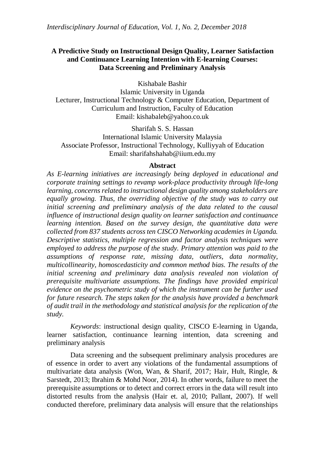# **A Predictive Study on Instructional Design Quality, Learner Satisfaction and Continuance Learning Intention with E-learning Courses: Data Screening and Preliminary Analysis**

Kishabale Bashir

Islamic University in Uganda Lecturer, Instructional Technology & Computer Education, Department of Curriculum and Instruction, Faculty of Education Email: kishabaleb@yahoo.co.uk

Sharifah S. S. Hassan International Islamic University Malaysia Associate Professor, Instructional Technology, Kulliyyah of Education Email: [sharifahshahab@iium.edu.my](mailto:sharifahshahab@iium.edu.my)

### **Abstract**

*As E-learning initiatives are increasingly being deployed in educational and corporate training settings to revamp work-place productivity through life-long learning, concerns related to instructional design quality among stakeholders are equally growing. Thus, the overriding objective of the study was to carry out initial screening and preliminary analysis of the data related to the causal influence of instructional design quality on learner satisfaction and continuance learning intention. Based on the survey design, the quantitative data were collected from 837 students across ten CISCO Networking academies in Uganda. Descriptive statistics, multiple regression and factor analysis techniques were employed to address the purpose of the study. Primary attention was paid to the assumptions of response rate, missing data, outliers, data normality, multicollinearity, homoscedasticity and common method bias. The results of the initial screening and preliminary data analysis revealed non violation of prerequisite multivariate assumptions. The findings have provided empirical evidence on the psychometric study of which the instrument can be further used for future research. The steps taken for the analysis have provided a benchmark of audit trail in the methodology and statistical analysis for the replication of the study.*

*Keywords*: instructional design quality, CISCO E-learning in Uganda, learner satisfaction, continuance learning intention, data screening and preliminary analysis

Data screening and the subsequent preliminary analysis procedures are of essence in order to avert any violations of the fundamental assumptions of multivariate data analysis (Won, Wan, & Sharif, 2017; Hair, Hult, Ringle, & Sarstedt, 2013; Ibrahim & Mohd Noor, 2014). In other words, failure to meet the prerequisite assumptions or to detect and correct errors in the data will result into distorted results from the analysis (Hair et. al, 2010; Pallant, 2007). If well conducted therefore, preliminary data analysis will ensure that the relationships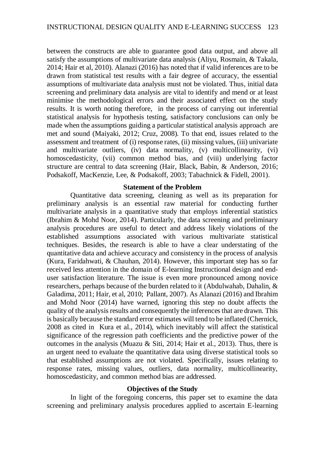between the constructs are able to guarantee good data output, and above all satisfy the assumptions of multivariate data analysis (Aliyu, Rosmain, & Takala, 2014; Hair et al, 2010). Alanazi (2016) has noted that if valid inferences are to be drawn from statistical test results with a fair degree of accuracy, the essential assumptions of multivariate data analysis must not be violated. Thus, initial data screening and preliminary data analysis are vital to identify and mend or at least minimise the methodological errors and their associated effect on the study results. It is worth noting therefore, in the process of carrying out inferential statistical analysis for hypothesis testing, satisfactory conclusions can only be made when the assumptions guiding a particular statistical analysis approach are met and sound (Maiyaki, 2012; Cruz, 2008). To that end, issues related to the assessment and treatment of (i) response rates, (ii) missing values, (iii) univariate and multivariate outliers, (iv) data normality, (v) multicollinearity, (vi) homoscedasticity, (vii) common method bias, and (viii) underlying factor structure are central to data screening (Hair, Black, Babin, & Anderson, 2016; Podsakoff, MacKenzie, Lee, & Podsakoff, 2003; Tabachnick & Fidell, 2001).

### **Statement of the Problem**

Quantitative data screening, cleaning as well as its preparation for preliminary analysis is an essential raw material for conducting further multivariate analysis in a quantitative study that employs inferential statistics (Ibrahim & Mohd Noor, 2014). Particularly, the data screening and preliminary analysis procedures are useful to detect and address likely violations of the established assumptions associated with various multivariate statistical techniques. Besides, the research is able to have a clear understating of the quantitative data and achieve accuracy and consistency in the process of analysis (Kura, Faridahwati, & Chauhan, 2014). However, this important step has so far received less attention in the domain of E-learning Instructional design and enduser satisfaction literature. The issue is even more pronounced among novice researchers, perhaps because of the burden related to it (Abdulwahab, Dahalin, & Galadima, 2011; Hair, et al, 2010; Pallant, 2007). As Alanazi (2016) and Ibrahim and Mohd Noor (2014) have warned, ignoring this step no doubt affects the quality of the analysis results and consequently the inferences that are drawn. This is basically because the standard error estimates will tend to be inflated (Chernick, 2008 as cited in Kura et al., 2014), which inevitably will affect the statistical significance of the regression path coefficients and the predictive power of the outcomes in the analysis (Muazu & Siti, 2014; Hair et al., 2013). Thus, there is an urgent need to evaluate the quantitative data using diverse statistical tools so that established assumptions are not violated. Specifically, issues relating to response rates, missing values, outliers, data normality, multicollinearity, homoscedasticity, and common method bias are addressed.

# **Objectives of the Study**

In light of the foregoing concerns, this paper set to examine the data screening and preliminary analysis procedures applied to ascertain E-learning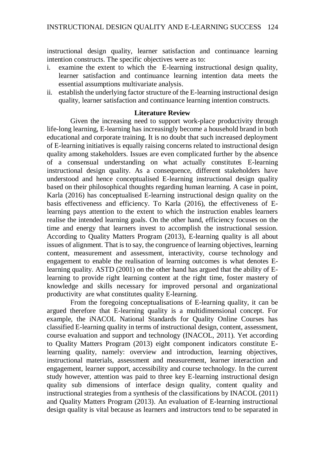instructional design quality, learner satisfaction and continuance learning intention constructs. The specific objectives were as to:

- i. examine the extent to which the E-learning instructional design quality, learner satisfaction and continuance learning intention data meets the essential assumptions multivariate analysis.
- ii. establish the underlying factor structure of the E-learning instructional design quality, learner satisfaction and continuance learning intention constructs.

# **Literature Review**

Given the increasing need to support work-place productivity through life-long learning, E-learning has increasingly become a household brand in both educational and corporate training. It is no doubt that such increased deployment of E-learning initiatives is equally raising concerns related to instructional design quality among stakeholders. Issues are even complicated further by the absence of a consensual understanding on what actually constitutes E-learning instructional design quality. As a consequence, different stakeholders have understood and hence conceptualised E-learning instructional design quality based on their philosophical thoughts regarding human learning. A case in point, Karla (2016) has conceptualised E-learning instructional design quality on the basis effectiveness and efficiency. To Karla (2016), the effectiveness of Elearning pays attention to the extent to which the instruction enables learners realise the intended learning goals. On the other hand, efficiency focuses on the time and energy that learners invest to accomplish the instructional session. According to Quality Matters Program (2013), E-learning quality is all about issues of alignment. That is to say, the congruence of learning objectives, learning content, measurement and assessment, interactivity, course technology and engagement to enable the realisation of learning outcomes is what denotes Elearning quality. ASTD (2001) on the other hand has argued that the ability of Elearning to provide right learning content at the right time, foster mastery of knowledge and skills necessary for improved personal and organizational productivity are what constitutes quality E-learning.

From the foregoing conceptualisations of E-learning quality, it can be argued therefore that E-learning quality is a multidimensional concept. For example, the iNACOL National Standards for Quality Online Courses has classified E-learning quality in terms of instructional design, content, assessment, course evaluation and support and technology (INACOL, 2011). Yet according to Quality Matters Program (2013) eight component indicators constitute Elearning quality, namely: overview and introduction, learning objectives, instructional materials, assessment and measurement, learner interaction and engagement, learner support, accessibility and course technology. In the current study however, attention was paid to three key E-learning instructional design quality sub dimensions of interface design quality, content quality and instructional strategies from a synthesis of the classifications by INACOL (2011) and Quality Matters Program (2013). An evaluation of E-learning instructional design quality is vital because as learners and instructors tend to be separated in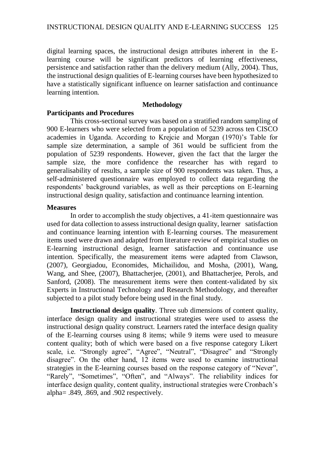digital learning spaces, the instructional design attributes inherent in the Elearning course will be significant predictors of learning effectiveness, persistence and satisfaction rather than the delivery medium (Ally, 2004). Thus, the instructional design qualities of E-learning courses have been hypothesized to have a statistically significant influence on learner satisfaction and continuance learning intention.

# **Methodology**

# **Participants and Procedures**

This cross-sectional survey was based on a stratified random sampling of 900 E-learners who were selected from a population of 5239 across ten CISCO academies in Uganda. According to Krejcie and Morgan (1970)'s Table for sample size determination, a sample of 361 would be sufficient from the population of 5239 respondents. However, given the fact that the larger the sample size, the more confidence the researcher has with regard to generalisability of results, a sample size of 900 respondents was taken. Thus, a self-administered questionnaire was employed to collect data regarding the respondents' background variables, as well as their perceptions on E-learning instructional design quality, satisfaction and continuance learning intention.

# **Measures**

In order to accomplish the study objectives, a 41-item questionnaire was used for data collection to assess instructional design quality, learner satisfaction and continuance learning intention with E-learning courses. The measurement items used were drawn and adapted from literature review of empirical studies on E-learning instructional design, learner satisfaction and continuance use intention. Specifically, the measurement items were adapted from Clawson, (2007), Georgiadou, Economides, Michailidou, and Mosha, (2001), Wang, Wang, and Shee, (2007), Bhattacherjee, (2001), and Bhattacherjee, Perols, and Sanford, (2008). The measurement items were then content-validated by six Experts in Instructional Technology and Research Methodology, and thereafter subjected to a pilot study before being used in the final study.

**Instructional design quality**. Three sub dimensions of content quality, interface design quality and instructional strategies were used to assess the instructional design quality construct. Learners rated the interface design quality of the E-learning courses using 8 items; while 9 items were used to measure content quality; both of which were based on a five response category Likert scale, i.e. "Strongly agree", "Agree", "Neutral", "Disagree" and "Strongly disagree". On the other hand, 12 items were used to examine instructional strategies in the E-learning courses based on the response category of "Never", "Rarely", "Sometimes", "Often", and "Always". The reliability indices for interface design quality, content quality, instructional strategies were Cronbach's alpha= .849, .869, and .902 respectively.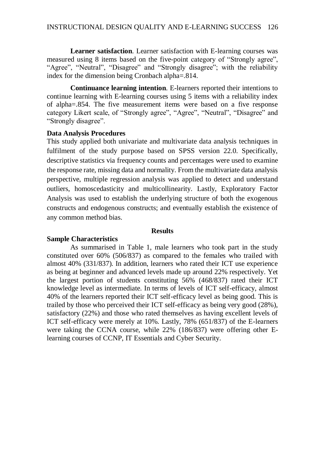**Learner satisfaction**. Learner satisfaction with E-learning courses was measured using 8 items based on the five-point category of "Strongly agree", "Agree", "Neutral", "Disagree" and "Strongly disagree"; with the reliability index for the dimension being Cronbach alpha=.814.

**Continuance learning intention**. E-learners reported their intentions to continue learning with E-learning courses using 5 items with a reliability index of alpha=.854. The five measurement items were based on a five response category Likert scale, of "Strongly agree", "Agree", "Neutral", "Disagree" and "Strongly disagree".

### **Data Analysis Procedures**

This study applied both univariate and multivariate data analysis techniques in fulfilment of the study purpose based on SPSS version 22.0. Specifically, descriptive statistics via frequency counts and percentages were used to examine the response rate, missing data and normality. From the multivariate data analysis perspective, multiple regression analysis was applied to detect and understand outliers, homoscedasticity and multicollinearity. Lastly, Exploratory Factor Analysis was used to establish the underlying structure of both the exogenous constructs and endogenous constructs; and eventually establish the existence of any common method bias.

### **Results**

# **Sample Characteristics**

As summarised in Table 1, male learners who took part in the study constituted over 60% (506/837) as compared to the females who trailed with almost 40% (331/837). In addition, learners who rated their ICT use experience as being at beginner and advanced levels made up around 22% respectively. Yet the largest portion of students constituting 56% (468/837) rated their ICT knowledge level as intermediate. In terms of levels of ICT self-efficacy, almost 40% of the learners reported their ICT self-efficacy level as being good. This is trailed by those who perceived their ICT self-efficacy as being very good (28%), satisfactory (22%) and those who rated themselves as having excellent levels of ICT self-efficacy were merely at 10%. Lastly, 78% (651/837) of the E-learners were taking the CCNA course, while 22% (186/837) were offering other Elearning courses of CCNP, IT Essentials and Cyber Security.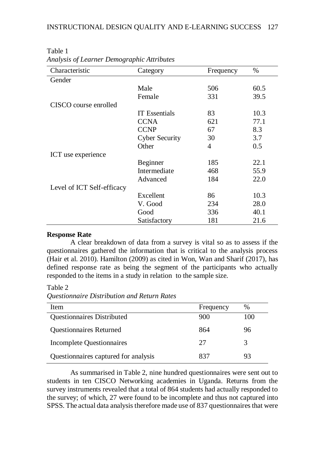| Characteristic             | Category              | Frequency | $\%$ |
|----------------------------|-----------------------|-----------|------|
| Gender                     |                       |           |      |
|                            | Male                  | 506       | 60.5 |
|                            | Female                | 331       | 39.5 |
| CISCO course enrolled      |                       |           |      |
|                            | <b>IT</b> Essentials  | 83        | 10.3 |
|                            | <b>CCNA</b>           | 621       | 77.1 |
|                            | <b>CCNP</b>           | 67        | 8.3  |
|                            | <b>Cyber Security</b> | 30        | 3.7  |
|                            | Other                 | 4         | 0.5  |
| ICT use experience         |                       |           |      |
|                            | Beginner              | 185       | 22.1 |
|                            | Intermediate          | 468       | 55.9 |
|                            | Advanced              | 184       | 22.0 |
| Level of ICT Self-efficacy |                       |           |      |
|                            | Excellent             | 86        | 10.3 |
|                            | V. Good               | 234       | 28.0 |
|                            | Good                  | 336       | 40.1 |
|                            | Satisfactory          | 181       | 21.6 |

Table 1 *Analysis of Learner Demographic Attributes*

# **Response Rate**

A clear breakdown of data from a survey is vital so as to assess if the questionnaires gathered the information that is critical to the analysis process (Hair et al. 2010). Hamilton (2009) as cited in Won, Wan and Sharif (2017), has defined response rate as being the segment of the participants who actually responded to the items in a study in relation to the sample size.

Table 2

*Questionnaire Distribution and Return Rates*

| <b>Item</b>                          | Frequency | $\%$ |
|--------------------------------------|-----------|------|
| <b>Questionnaires Distributed</b>    | 900       | 100  |
| <b>Questionnaires Returned</b>       | 864       | 96   |
| <b>Incomplete Questionnaires</b>     | 27        | 3    |
| Questionnaires captured for analysis | 837       | 93   |

As summarised in Table 2, nine hundred questionnaires were sent out to students in ten CISCO Networking academies in Uganda. Returns from the survey instruments revealed that a total of 864 students had actually responded to the survey; of which, 27 were found to be incomplete and thus not captured into SPSS. The actual data analysis therefore made use of 837 questionnaires that were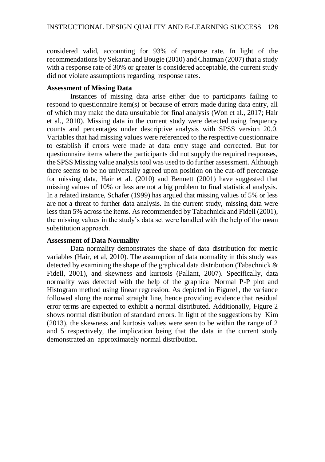considered valid, accounting for 93% of response rate. In light of the recommendations by Sekaran and Bougie (2010) and Chatman (2007) that a study with a response rate of 30% or greater is considered acceptable, the current study did not violate assumptions regarding response rates.

#### **Assessment of Missing Data**

Instances of missing data arise either due to participants failing to respond to questionnaire item(s) or because of errors made during data entry, all of which may make the data unsuitable for final analysis (Won et al., 2017; Hair et al., 2010). Missing data in the current study were detected using frequency counts and percentages under descriptive analysis with SPSS version 20.0. Variables that had missing values were referenced to the respective questionnaire to establish if errors were made at data entry stage and corrected. But for questionnaire items where the participants did not supply the required responses, the SPSS Missing value analysis tool was used to do further assessment. Although there seems to be no universally agreed upon position on the cut-off percentage for missing data, Hair et al. (2010) and Bennett (2001) have suggested that missing values of 10% or less are not a big problem to final statistical analysis. In a related instance, Schafer (1999) has argued that missing values of 5% or less are not a threat to further data analysis. In the current study, missing data were less than 5% across the items. As recommended by Tabachnick and Fidell (2001), the missing values in the study's data set were handled with the help of the mean substitution approach.

# **Assessment of Data Normality**

Data normality demonstrates the shape of data distribution for metric variables (Hair, et al, 2010). The assumption of data normality in this study was detected by examining the shape of the graphical data distribution (Tabachnick & Fidell, 2001), and skewness and kurtosis (Pallant, 2007). Specifically, data normality was detected with the help of the graphical Normal P-P plot and Histogram method using linear regression. As depicted in Figure1, the variance followed along the normal straight line, hence providing evidence that residual error terms are expected to exhibit a normal distributed. Additionally, Figure 2 shows normal distribution of standard errors. In light of the suggestions by Kim (2013), the skewness and kurtosis values were seen to be within the range of 2 and 5 respectively, the implication being that the data in the current study demonstrated an approximately normal distribution.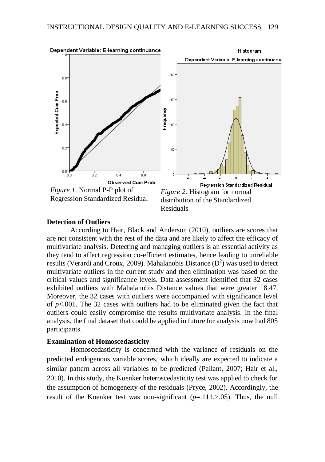

#### **Detection of Outliers**

According to Hair, Black and Anderson (2010), outliers are scores that are not consistent with the rest of the data and are likely to affect the efficacy of multivariate analysis. Detecting and managing outliers is an essential activity as they tend to affect regression co-efficient estimates, hence leading to unreliable results (Verardi and Croux, 2009). Mahalanobis Distance  $(D^2)$  was used to detect multivariate outliers in the current study and then elimination was based on the critical values and significance levels. Data assessment identified that 32 cases exhibited outliers with Mahalanobis Distance values that were greater 18.47. Moreover, the 32 cases with outliers were accompanied with significance level of *p*<.001. The 32 cases with outliers had to be eliminated given the fact that outliers could easily compromise the results multivariate analysis. In the final analysis, the final dataset that could be applied in future for analysis now had 805 participants.

### **Examination of Homoscedasticity**

Homoscedasticity is concerned with the variance of residuals on the predicted endogenous variable scores, which ideally are expected to indicate a similar pattern across all variables to be predicted (Pallant, 2007; Hair et al., 2010). In this study, the Koenker heteroscedasticity test was applied to check for the assumption of homogeneity of the residuals (Pryce, 2002). Accordingly, the result of the Koenker test was non-significant  $(p=111, >0.05)$ . Thus, the null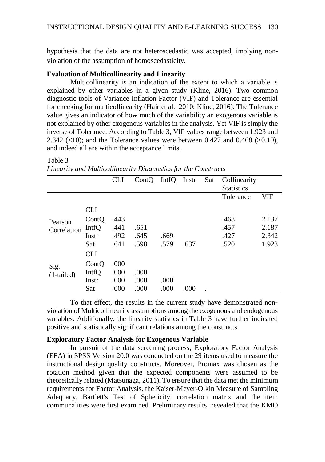hypothesis that the data are not heteroscedastic was accepted, implying nonviolation of the assumption of homoscedasticity.

# **Evaluation of Multicollinearity and Linearity**

Multicollinearity is an indication of the extent to which a variable is explained by other variables in a given study (Kline, 2016). Two common diagnostic tools of Variance Inflation Factor (VIF) and Tolerance are essential for checking for multicollinearity (Hair et al., 2010; Kline, 2016). The Tolerance value gives an indicator of how much of the variability an exogenous variable is not explained by other exogenous variables in the analysis. Yet VIF is simply the inverse of Tolerance. According to Table 3, VIF values range between 1.923 and 2.342 ( $\langle 10 \rangle$ ; and the Tolerance values were between 0.427 and 0.468 ( $\langle 0.10 \rangle$ ), and indeed all are within the acceptance limits.

#### Table 3

|              |            | <b>CLI</b> | ContQ | Intro Instr |      | Sat | Collinearity      |            |
|--------------|------------|------------|-------|-------------|------|-----|-------------------|------------|
|              |            |            |       |             |      |     | <b>Statistics</b> |            |
|              |            |            |       |             |      |     | Tolerance         | <b>VIF</b> |
|              | <b>CLI</b> |            |       |             |      |     |                   |            |
| Pearson      | ContQ      | .443       |       |             |      |     | .468              | 2.137      |
| Correlation  | IntfQ      | .441       | .651  |             |      |     | .457              | 2.187      |
|              | Instr      | .492       | .645  | .669        |      |     | .427              | 2.342      |
|              | Sat        | .641       | .598  | .579        | .637 |     | .520              | 1.923      |
|              | <b>CLI</b> |            |       |             |      |     |                   |            |
| Sig.         | ContQ      | .000       |       |             |      |     |                   |            |
| $(1-tailed)$ | IntfQ      | .000       | .000  |             |      |     |                   |            |
|              | Instr      | .000       | .000  | .000        |      |     |                   |            |
|              | Sat        | .000       | .000  | .000        | .000 |     |                   |            |

*Linearity and Multicollinearity Diagnostics for the Constructs*

To that effect, the results in the current study have demonstrated nonviolation of Multicollinearity assumptions among the exogenous and endogenous variables. Additionally, the linearity statistics in Table 3 have further indicated positive and statistically significant relations among the constructs.

# **Exploratory Factor Analysis for Exogenous Variable**

In pursuit of the data screening process, Exploratory Factor Analysis (EFA) in SPSS Version 20.0 was conducted on the 29 items used to measure the instructional design quality constructs. Moreover, Promax was chosen as the rotation method given that the expected components were assumed to be theoretically related (Matsunaga, 2011). To ensure that the data met the minimum requirements for Factor Analysis, the Kaiser-Meyer-Olkin Measure of Sampling Adequacy, Bartlett's Test of Sphericity, correlation matrix and the item communalities were first examined. Preliminary results revealed that the KMO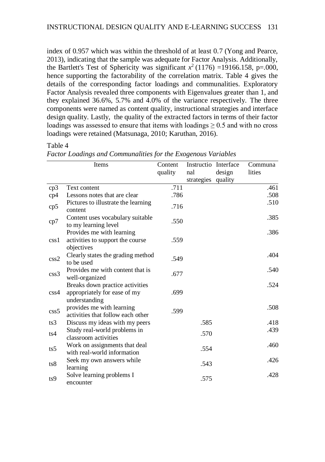index of 0.957 which was within the threshold of at least 0.7 (Yong and Pearce, 2013), indicating that the sample was adequate for Factor Analysis. Additionally, the Bartlett's Test of Sphericity was significant  $x^2$  (1176) =19166.158, p=.000, hence supporting the factorability of the correlation matrix. Table 4 gives the details of the corresponding factor loadings and communalities. Exploratory Factor Analysis revealed three components with Eigenvalues greater than 1, and they explained 36.6%, 5.7% and 4.0% of the variance respectively. The three components were named as content quality, instructional strategies and interface design quality. Lastly, the quality of the extracted factors in terms of their factor loadings was assessed to ensure that items with loadings  $\geq 0.5$  and with no cross loadings were retained (Matsunaga, 2010; Karuthan, 2016).

# Table 4

*Factor Loadings and Communalities for the Exogenous Variables*

|          | Items                                                                            | Content<br>quality | Instructio Interface<br>nal | design | Communa<br>lities |
|----------|----------------------------------------------------------------------------------|--------------------|-----------------------------|--------|-------------------|
|          |                                                                                  |                    | strategies quality          |        |                   |
| cp3      | Text content                                                                     | .711               |                             |        | .461              |
| cp4      | Lessons notes that are clear                                                     | .786               |                             |        | .508              |
| cp5      | Pictures to illustrate the learning<br>content                                   | .716               |                             |        | .510              |
| cp7      | Content uses vocabulary suitable<br>to my learning level                         | .550               |                             |        | .385              |
| $\cosh$  | Provides me with learning<br>activities to support the course<br>objectives      | .559               |                             |        | .386              |
| $\cos 2$ | Clearly states the grading method<br>to be used                                  | .549               |                             |        | .404              |
| $\csc 3$ | Provides me with content that is<br>well-organized                               | .677               |                             |        | .540              |
| $\cos 4$ | Breaks down practice activities<br>appropriately for ease of my<br>understanding | .699               |                             |        | .524              |
| $\cos 5$ | provides me with learning<br>activities that follow each other                   | .599               |                             |        | .508              |
| ts3      | Discuss my ideas with my peers                                                   |                    | .585                        |        | .418              |
| ts4      | Study real-world problems in<br>classroom activities                             |                    | .570                        |        | .439              |
| ts5      | Work on assignments that deal<br>with real-world information                     |                    | .554                        |        | .460              |
| ts8      | Seek my own answers while<br>learning                                            |                    | .543                        |        | .426              |
| ts9      | Solve learning problems I<br>encounter                                           |                    | .575                        |        | .428              |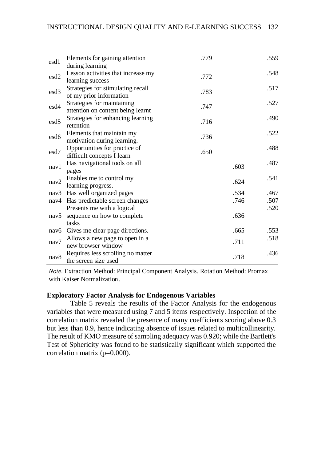| esd1             | Elements for gaining attention<br>during learning               | .779 |      | .559 |
|------------------|-----------------------------------------------------------------|------|------|------|
| esd <sub>2</sub> | Lesson activities that increase my<br>learning success          | .772 |      | .548 |
| esd <sub>3</sub> | Strategies for stimulating recall<br>of my prior information    | .783 |      | .517 |
| esd4             | Strategies for maintaining<br>attention on content being learnt | .747 |      | .527 |
| esd5             | Strategies for enhancing learning<br>retention                  | .716 |      | .490 |
| esd6             | Elements that maintain my<br>motivation during learning.        | .736 |      | .522 |
| esd7             | Opportunities for practice of<br>difficult concepts I learn     | .650 |      | .488 |
| nav1             | Has navigational tools on all<br>pages                          |      | .603 | .487 |
| nav2             | Enables me to control my<br>learning progress.                  |      | .624 | .541 |
|                  | nav3 Has well organized pages                                   |      | .534 | .467 |
|                  | nav4 Has predictable screen changes                             |      | .746 | .507 |
|                  | Presents me with a logical                                      |      |      | .520 |
| nav5             | sequence on how to complete                                     |      | .636 |      |
|                  | tasks                                                           |      |      |      |
|                  | nav6 Gives me clear page directions.                            |      | .665 | .553 |
| nav7             | Allows a new page to open in a<br>new browser window            |      | .711 | .518 |
| nav8             | Requires less scrolling no matter<br>the screen size used       |      | .718 | .436 |

*Note*. Extraction Method: Principal Component Analysis. Rotation Method: Promax with Kaiser Normalization.

# **Exploratory Factor Analysis for Endogenous Variables**

Table 5 reveals the results of the Factor Analysis for the endogenous variables that were measured using 7 and 5 items respectively. Inspection of the correlation matrix revealed the presence of many coefficients scoring above 0.3 but less than 0.9, hence indicating absence of issues related to multicollinearity. The result of KMO measure of sampling adequacy was 0.920; while the Bartlett's Test of Sphericity was found to be statistically significant which supported the correlation matrix (p=0.000).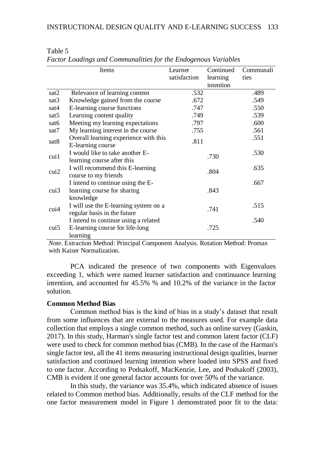|                  | Items                                 | Learner      | Continued | Communali |
|------------------|---------------------------------------|--------------|-----------|-----------|
|                  |                                       | satisfaction | learning  | ties      |
|                  |                                       |              | intention |           |
| sat2             | Relevance of learning content         | .532         |           | .489      |
| sat3             | Knowledge gained from the course      | .672         |           | .549      |
| sat4             | E-learning course functions           | .747         |           | .550      |
| sat <sub>5</sub> | Learning content quality              | .749         |           | .539      |
| sat <sub>6</sub> | Meeting my learning expectations      | .797         |           | .600      |
| sat7             | My learning interest in the course    | .755         |           | .561      |
| sat8             | Overall learning experience with this | .811         |           | .551      |
|                  | E-learning course                     |              |           |           |
| $\cosh 1$        | I would like to take another E-       |              | .730      | .530      |
|                  | learning course after this            |              |           |           |
| $\text{cui2}$    | I will recommend this E-learning      |              | .804      | .635      |
|                  | course to my friends                  |              |           |           |
|                  | I intend to continue using the E-     |              |           | .667      |
| cui3             | learning course for sharing           |              | .843      |           |
|                  | knowledge                             |              |           |           |
|                  | I will use the E-learning system on a |              |           | .515      |
| $\alpha$ ui4     | regular basis in the future           |              | .741      |           |
|                  | I intend to continue using a related  |              |           | .540      |
| cui5             | E-learning course for life-long       |              | .725      |           |
|                  | learning                              |              |           |           |

### Table 5 *Factor Loadings and Communalities for the Endogenous Variables*

*Note*. Extraction Method: Principal Component Analysis. Rotation Method: Promax with Kaiser Normalization.

PCA indicated the presence of two components with Eigenvalues exceeding 1, which were named learner satisfaction and continuance learning intention, and accounted for 45.5% % and 10.2% of the variance in the factor solution.

# **Common Method Bias**

Common method bias is the kind of bias in a study's dataset that result from some influences that are external to the measures used. For example data collection that employs a single common method, such as online survey (Gaskin, 2017). In this study, Harman's single factor test and common latent factor (CLF) were used to check for common method bias (CMB). In the case of the Harman's single factor test, all the 41 items measuring instructional design qualities, learner satisfaction and continued learning intention where loaded into SPSS and fixed to one factor. According to Podsakoff, MacKenzie, Lee, and Podsakoff (2003), CMB is evident if one general factor accounts for over 50% of the variance.

In this study, the variance was 35.4%, which indicated absence of issues related to Common method bias. Additionally, results of the CLF method for the one factor measurement model in Figure 1 demonstrated poor fit to the data: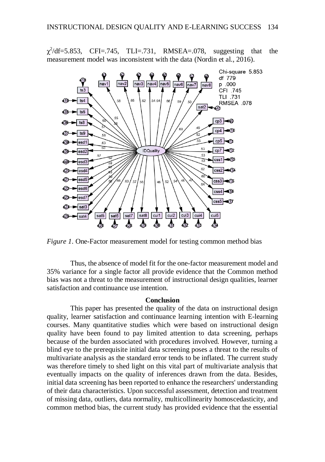$\chi^2$  $CFI = .745$ ,  $TLI = .731$ ,  $RMSEA = .078$ , suggesting that the measurement model was inconsistent with the data (Nordin et al., 2016).



*Figure 1*. One-Factor measurement model for testing common method bias

Thus, the absence of model fit for the one-factor measurement model and 35% variance for a single factor all provide evidence that the Common method bias was not a threat to the measurement of instructional design qualities, learner satisfaction and continuance use intention.

#### **Conclusion**

This paper has presented the quality of the data on instructional design quality, learner satisfaction and continuance learning intention with E-learning courses. Many quantitative studies which were based on instructional design quality have been found to pay limited attention to data screening, perhaps because of the burden associated with procedures involved. However, turning a blind eye to the prerequisite initial data screening poses a threat to the results of multivariate analysis as the standard error tends to be inflated. The current study was therefore timely to shed light on this vital part of multivariate analysis that eventually impacts on the quality of inferences drawn from the data. Besides, initial data screening has been reported to enhance the researchers' understanding of their data characteristics. Upon successful assessment, detection and treatment of missing data, outliers, data normality, multicollinearity homoscedasticity, and common method bias, the current study has provided evidence that the essential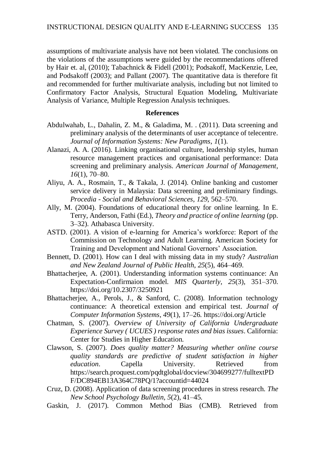assumptions of multivariate analysis have not been violated. The conclusions on the violations of the assumptions were guided by the recommendations offered by Hair et. al, (2010); Tabachnick & Fidell (2001); Podsakoff, MacKenzie, Lee, and Podsakoff (2003); and Pallant (2007). The quantitative data is therefore fit and recommended for further multivariate analysis, including but not limited to Confirmatory Factor Analysis, Structural Equation Modeling, Multivariate Analysis of Variance, Multiple Regression Analysis techniques.

### **References**

- Abdulwahab, L., Dahalin, Z. M., & Galadima, M. . (2011). Data screening and preliminary analysis of the determinants of user acceptance of telecentre. *Journal of Information Systems: New Paradigms*, *1*(1).
- Alanazi, A. A. (2016). Linking organisational culture, leadership styles, human resource management practices and organisational performance: Data screening and preliminary analysis. *American Journal of Management*, *16*(1), 70–80.
- Aliyu, A. A., Rosmain, T., & Takala, J. (2014). Online banking and customer service delivery in Malaysia: Data screening and preliminary findings. *Procedia - Social and Behavioral Sciences*, *129*, 562–570.
- Ally, M. (2004). Foundations of educational theory for online learning. In E. Terry, Anderson, Fathi (Ed.), *Theory and practice of online learning* (pp. 3–32). Athabasca University.
- ASTD. (2001). A vision of e-learning for America's workforce: Report of the Commission on Technology and Adult Learning. American Society for Training and Development and National Governors' Association.
- Bennett, D. (2001). How can I deal with missing data in my study? *Australian and New Zealand Journal of Public Health*, *25*(5), 464–469.
- Bhattacherjee, A. (2001). Understanding information systems continuance: An Expectation-Confirmaion model. *MIS Quarterly*, *25*(3), 351–370. https://doi.org/10.2307/3250921
- Bhattacherjee, A., Perols, J., & Sanford, C. (2008). Information technology continuance: A theoretical extension and empirical test. *Journal of Computer Information Systems*, *49*(1), 17–26. https://doi.org/Article
- Chatman, S. (2007). *Overview of University of California Undergraduate Experience Survey ( UCUES ) response rates and bias issues*. California: Center for Studies in Higher Education.
- Clawson, S. (2007). *Does quality matter? Measuring whether online course quality standards are predictive of student satisfaction in higher education*. Capella University. Retrieved from https://search.proquest.com/pqdtglobal/docview/304699277/fulltextPD F/DC894EB13A364C78PQ/1?accountid=44024
- Cruz, D. (2008). Application of data screening procedures in stress research. *The New School Psychology Bulletin*, *5*(2), 41–45.
- Gaskin, J. (2017). Common Method Bias (CMB). Retrieved from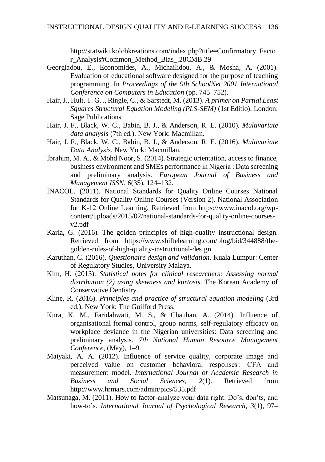http://statwiki.kolobkreations.com/index.php?title=Confirmatory\_Facto r\_Analysis#Common\_Method\_Bias\_.28CMB.29

- Georgiadou, E., Economides, A., Michailidou, A., & Mosha, A. (2001). Evaluation of educational software designed for the purpose of teaching programming. In *Proceedings of the 9th SchoolNet 2001 International Conference on Computers in Education* (pp. 745–752).
- Hair, J., Hult, T. G. ., Ringle, C., & Sarstedt, M. (2013). *A primer on Partial Least Squares Structural Equation Modeling (PLS-SEM)* (1st Editio). London: Sage Publications.
- Hair, J. F., Black, W. C., Babin, B. J., & Anderson, R. E. (2010). *Multivariate data analysis* (7th ed.). New York: Macmillan.
- Hair, J. F., Black, W. C., Babin, B. J., & Anderson, R. E. (2016). *Multivariate Data Analysis*. New York: Macmillan.
- Ibrahim, M. A., & Mohd Noor, S. (2014). Strategic orientation, access to finance, business environment and SMEs performance in Nigeria : Data screening and preliminary analysis. *European Journal of Business and Management ISSN*, *6*(35), 124–132.
- INACOL. (2011). National Standards for Quality Online Courses National Standards for Quality Online Courses (Version 2). National Association for K-12 Online Learning. Retrieved from https://www.inacol.org/wpcontent/uploads/2015/02/national-standards-for-quality-online-coursesv2.pdf
- Karla, G. (2016). The golden principles of high-quality instructional design. Retrieved from https://www.shiftelearning.com/blog/bid/344888/thegolden-rules-of-high-quality-instructional-design
- Karuthan, C. (2016). *Questionaire design and validation*. Kuala Lumpur: Center of Regulatory Studies, University Malaya.
- Kim, H. (2013). *Statistical notes for clinical researchers: Assessing normal distribution (2) using skewness and kurtosis*. The Korean Academy of Conservative Dentistry.
- Kline, R. (2016). *Principles and practice of structural equation modeling* (3rd ed.). New York: The Guilford Press.
- Kura, K. M., Faridahwati, M. S., & Chauhan, A. (2014). Influence of organisational formal control, group norms, self-regulatory efficacy on workplace deviance in the Nigerian universities: Data screening and preliminary analysis. *7th National Human Resource Management Conference*, (May), 1–9.
- Maiyaki, A. A. (2012). Influence of service quality, corporate image and perceived value on customer behavioral responses : CFA and measurement model. *International Journal of Academic Research in Business and Social Sciences*, *2*(1). Retrieved from http://www.hrmars.com/admin/pics/535.pdf
- Matsunaga, M. (2011). How to factor-analyze your data right: Do's, don'ts, and how-to's. *International Journal of Psychological Research*, *3*(1), 97–